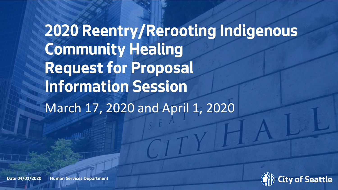# **2020 Reentry/Rerooting Indigenous Community Healing Request for Proposal Information Session** March 17, 2020 and April 1, 2020



**Date 04/01/2020 Human Services Department Name Page 18 (04/01/2020) Date 04/01/2020 Human Services Department 0**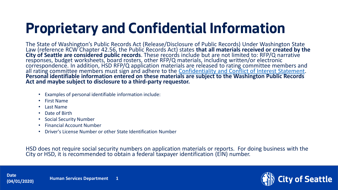# **Proprietary and Confidential Information**

The State of Washington's Public Records Act (Release/Disclosure of Public Records) Under Washington State Law (reference RCW Chapter 42.56, the Public Records Act) states **that all materials received or created by the City of Seattle are considered public records**. These records include but are not limited to: RFP/Q narrative responses, budget worksheets, board rosters, other RFP/Q materials, including written/or electronic correspondence. In addition, HSD RFP/Q application materials are released to rating committee members and all rating committee members must sign and adhere to the [Confidentiality and Conflict of Interest Statement.](http://www.seattle.gov/humanservices/funding-and-reports/how-to-do-business-with-hsd) **Personal identifiable information entered on these materials are subject to the Washington Public Records Act and maybe subject to disclosure to a third-party requestor.**

- Examples of personal identifiable information include:
- First Name
- Last Name
- Date of Birth
- Social Security Number
- Financial Account Number
- Driver's License Number or other State Identification Number

HSD does not require social security numbers on application materials or reports. For doing business with the City or HSD, it is recommended to obtain a federal taxpayer identification (EIN) number.

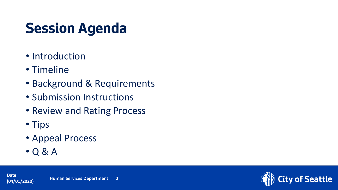# **Session Agenda**

- Introduction
- Timeline
- Background & Requirements
- Submission Instructions
- Review and Rating Process
- Tips
- Appeal Process
- Q & A

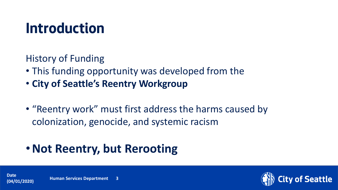### **Introduction**

History of Funding

- This funding opportunity was developed from the
- **City of Seattle's Reentry Workgroup**
- "Reentry work" must first address the harms caused by colonization, genocide, and systemic racism

### •**Not Reentry, but Rerooting**



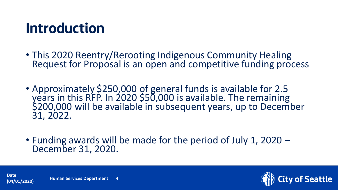### **Introduction**

- This 2020 Reentry/Rerooting Indigenous Community Healing Request for Proposal is an open and competitive funding process
- Approximately \$250,000 of general funds is available for 2.5 years in this RFP. In 2020 \$50,000 is available. The remaining \$200,000 will be available in subsequent years, up to December 31, 2022.
- Funding awards will be made for the period of July 1, 2020 December 31, 2020.



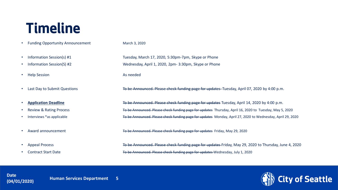### **Timeline**

- Funding Opportunity Announcement March 3, 2020
- 
- 
- Help Session **As needed**
- 
- 
- 
- 
- 
- 
- 

• Information Session(s) #1 Tuesday, March 17, 2020, 5:30pm-7pm, Skype or Phone • Information Session(S) #2 Wednesday, April 1, 2020, 2pm- 3:30pm, Skype or Phone

• Last Day to Submit Questions The be Announced. Please check funding page for updates Tuesday, April 07, 2020 by 4:00 p.m.

• **Application Deadline** To be Announced. Please check funding page for updates Tuesday, April 14, 2020 by 4:00 p.m. Review & Rating Process Thursday, May 5, 2020 Interviews \*as applicable **The State of the Announced. Please check funding page for updates** Monday, April 27, 2020 to Wednesday, April 29, 2020

• Award announcement To be Announced. Please check funding page for updates Friday, May 29, 2020

Appeal Process **To be Announced. Please check funding page for updates** Friday, May 29, 2020 to Thursday, June 4, 2020 • Contract Start Date To be Announced. Please check funding page for updates Wednesday, July 1, 2020



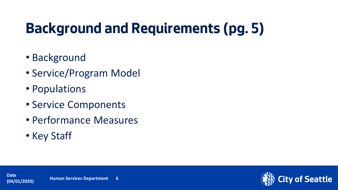# **Background and Requirements (pg. 5)**

- Background
- Service/Program Model
- Populations
- Service Components
- Performance Measures
- Key Staff

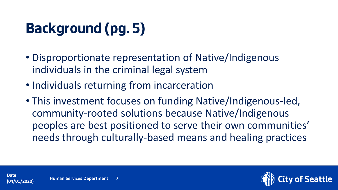# **Background (pg. 5)**

- Disproportionate representation of Native/Indigenous individuals in the criminal legal system
- Individuals returning from incarceration
- This investment focuses on funding Native/Indigenous-led, community-rooted solutions because Native/Indigenous peoples are best positioned to serve their own communities' needs through culturally-based means and healing practices

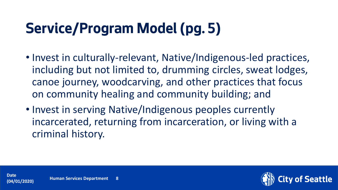# **Service/Program Model (pg. 5)**

- Invest in culturally-relevant, Native/Indigenous-led practices, including but not limited to, drumming circles, sweat lodges, canoe journey, woodcarving, and other practices that focus on community healing and community building; and
- Invest in serving Native/Indigenous peoples currently incarcerated, returning from incarceration, or living with a criminal history.

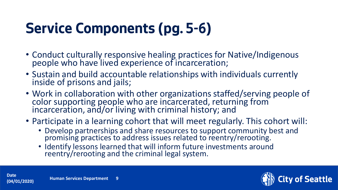# **Service Components (pg. 5-6)**

- Conduct culturally responsive healing practices for Native/Indigenous people who have lived experience of incarceration;
- Sustain and build accountable relationships with individuals currently inside of prisons and jails;
- Work in collaboration with other organizations staffed/serving people of color supporting people who are incarcerated, returning from incarceration, and/or living with criminal history; and
- Participate in a learning cohort that will meet regularly. This cohort will:
	- Develop partnerships and share resources to support community best and promising practices to address issues related to reentry/rerooting.
	- Identify lessons learned that will inform future investments around reentry/rerooting and the criminal legal system.



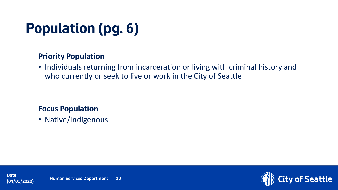# **Population (pg. 6)**

#### **Priority Population**

• Individuals returning from incarceration or living with criminal history and who currently or seek to live or work in the City of Seattle

#### **Focus Population**

• Native/Indigenous

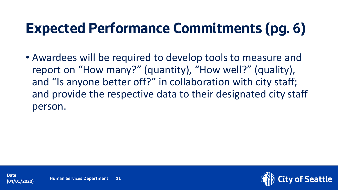# **Expected Performance Commitments (pg. 6)**

• Awardees will be required to develop tools to measure and report on "How many?" (quantity), "How well?" (quality), and "Is anyone better off?" in collaboration with city staff; and provide the respective data to their designated city staff person.

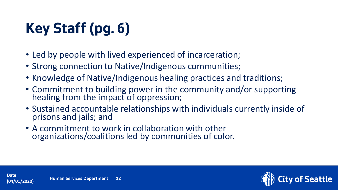# **Key Staff (pg. 6)**

- Led by people with lived experienced of incarceration;
- Strong connection to Native/Indigenous communities;
- Knowledge of Native/Indigenous healing practices and traditions;
- Commitment to building power in the community and/or supporting healing from the impact of oppression;
- Sustained accountable relationships with individuals currently inside of prisons and jails; and
- A commitment to work in collaboration with other organizations/coalitions led by communities of color.

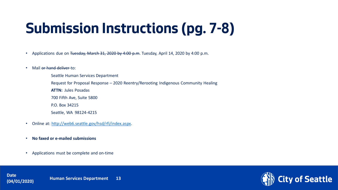# **Submission Instructions (pg. 7-8)**

- Applications due on Tuesday, March 31, 2020 by 4:00 p.m. Tuesday, April 14, 2020 by 4:00 p.m.
- Mail or hand deliver to:
	- Seattle Human Services Department Request for Proposal Response – 2020 Reentry/Rerooting Indigenous Community Healing **ATTN:** Jules Posadas 700 Fifth Ave, Suite 5800 P.O. Box 34215
	- Seattle, WA 98124-4215
- Online at: [http://web6.seattle.gov/hsd/rfi/index.aspx.](http://web6.seattle.gov/hsd/rfi/index.aspx)
- **No faxed or e-mailed submissions**
- Applications must be complete and on-time



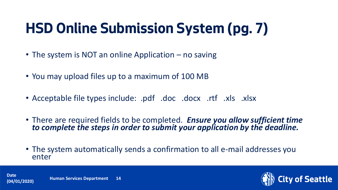# **HSD Online Submission System (pg. 7)**

- The system is NOT an online Application no saving
- You may upload files up to a maximum of 100 MB
- Acceptable file types include: .pdf .doc .docx .rtf .xls .xlsx
- There are required fields to be completed. *Ensure you allow sufficient time to complete the steps in order to submit your application by the deadline.*
- The system automatically sends a confirmation to all e-mail addresses you enter



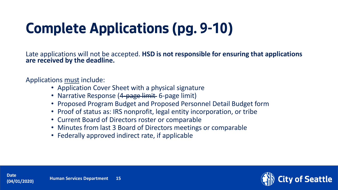# **Complete Applications (pg. 9-10)**

Late applications will not be accepted. **HSD is not responsible for ensuring that applications are received by the deadline.**

Applications must include:

- Application Cover Sheet with a physical signature
- Narrative Response (4-page limit 6-page limit)
- Proposed Program Budget and Proposed Personnel Detail Budget form
- Proof of status as: IRS nonprofit, legal entity incorporation, or tribe
- Current Board of Directors roster or comparable
- Minutes from last 3 Board of Directors meetings or comparable
- Federally approved indirect rate, if applicable

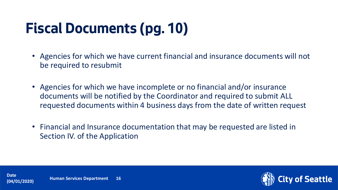# **Fiscal Documents (pg. 10)**

- Agencies for which we have current financial and insurance documents will not be required to resubmit
- Agencies for which we have incomplete or no financial and/or insurance documents will be notified by the Coordinator and required to submit ALL requested documents within 4 business days from the date of written request
- Financial and Insurance documentation that may be requested are listed in Section IV. of the Application

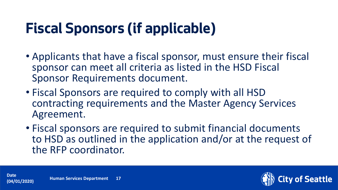# **Fiscal Sponsors (if applicable)**

- Applicants that have a fiscal sponsor, must ensure their fiscal sponsor can meet all criteria as listed in the HSD Fiscal Sponsor Requirements document.
- Fiscal Sponsors are required to comply with all HSD contracting requirements and the Master Agency Services Agreement.
- Fiscal sponsors are required to submit financial documents to HSD as outlined in the application and/or at the request of the RFP coordinator.



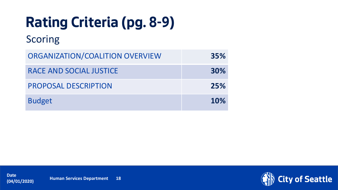# **Rating Criteria (pg. 8-9)**

#### Scoring

| ORGANIZATION/COALITION OVERVIEW | 35%        |
|---------------------------------|------------|
| RACE AND SOCIAL JUSTICE         | 30%        |
| <b>PROPOSAL DESCRIPTION</b>     | 25%        |
| <b>Budget</b>                   | <b>10%</b> |

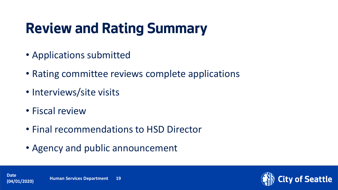# **Review and Rating Summary**

- Applications submitted
- Rating committee reviews complete applications
- Interviews/site visits
- Fiscal review
- Final recommendations to HSD Director
- Agency and public announcement

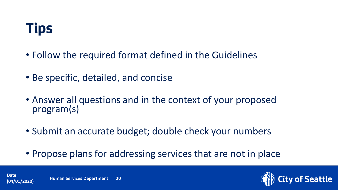

- Follow the required format defined in the Guidelines
- Be specific, detailed, and concise
- Answer all questions and in the context of your proposed program(s)
- Submit an accurate budget; double check your numbers
- Propose plans for addressing services that are not in place



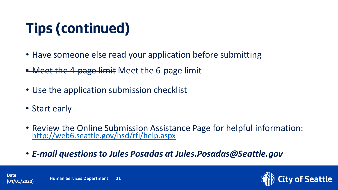# **Tips (continued)**

- Have someone else read your application before submitting
- Meet the 4-page limit Meet the 6-page limit
- Use the application submission checklist
- Start early
- Review the Online Submission Assistance Page for helpful information: <http://web6.seattle.gov/hsd/rfi/help.aspx>
- *E-mail questions to Jules Posadas at Jules.Posadas@Seattle.gov*



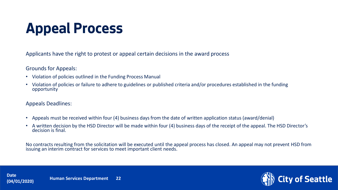# **Appeal Process**

Applicants have the right to protest or appeal certain decisions in the award process

#### Grounds for Appeals:

- Violation of policies outlined in the Funding Process Manual
- Violation of policies or failure to adhere to guidelines or published criteria and/or procedures established in the funding opportunity

#### Appeals Deadlines:

- Appeals must be received within four (4) business days from the date of written application status (award/denial)
- A written decision by the HSD Director will be made within four (4) business days of the receipt of the appeal. The HSD Director's decision is final.

No contracts resulting from the solicitation will be executed until the appeal process has closed. An appeal may not prevent HSD from issuing an interim contract for services to meet important client needs.